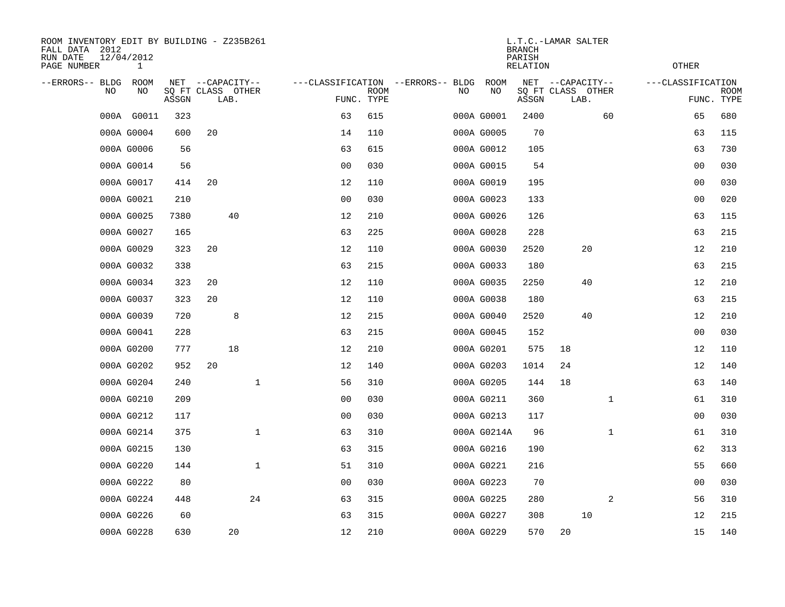| ROOM INVENTORY EDIT BY BUILDING - Z235B261<br>FALL DATA 2012<br>RUN DATE<br>PAGE NUMBER |    | 12/04/2012<br>1 |       |    |                                               |                |      |                                   |    |             | <b>BRANCH</b><br>PARISH<br>RELATION | L.T.C.-LAMAR SALTER                           |    |              | OTHER             |                |                    |
|-----------------------------------------------------------------------------------------|----|-----------------|-------|----|-----------------------------------------------|----------------|------|-----------------------------------|----|-------------|-------------------------------------|-----------------------------------------------|----|--------------|-------------------|----------------|--------------------|
| --ERRORS-- BLDG                                                                         | NO | ROOM<br>ΝO      | ASSGN |    | NET --CAPACITY--<br>SQ FT CLASS OTHER<br>LAB. | FUNC. TYPE     | ROOM | ---CLASSIFICATION --ERRORS-- BLDG | NO | ROOM<br>NO  | ASSGN                               | NET --CAPACITY--<br>SQ FT CLASS OTHER<br>LAB. |    |              | ---CLASSIFICATION |                | ROOM<br>FUNC. TYPE |
|                                                                                         |    | 000A G0011      | 323   |    |                                               | 63             | 615  |                                   |    | 000A G0001  | 2400                                |                                               |    | 60           |                   | 65             | 680                |
|                                                                                         |    | 000A G0004      | 600   | 20 |                                               | 14             | 110  |                                   |    | 000A G0005  | 70                                  |                                               |    |              |                   | 63             | 115                |
|                                                                                         |    | 000A G0006      | 56    |    |                                               | 63             | 615  |                                   |    | 000A G0012  | 105                                 |                                               |    |              |                   | 63             | 730                |
|                                                                                         |    | 000A G0014      | 56    |    |                                               | 0 <sub>0</sub> | 030  |                                   |    | 000A G0015  | 54                                  |                                               |    |              |                   | 00             | 030                |
|                                                                                         |    | 000A G0017      | 414   | 20 |                                               | 12             | 110  |                                   |    | 000A G0019  | 195                                 |                                               |    |              |                   | 0 <sub>0</sub> | 030                |
|                                                                                         |    | 000A G0021      | 210   |    |                                               | 0 <sub>0</sub> | 030  |                                   |    | 000A G0023  | 133                                 |                                               |    |              |                   | 00             | 020                |
|                                                                                         |    | 000A G0025      | 7380  |    | 40                                            | 12             | 210  |                                   |    | 000A G0026  | 126                                 |                                               |    |              |                   | 63             | 115                |
|                                                                                         |    | 000A G0027      | 165   |    |                                               | 63             | 225  |                                   |    | 000A G0028  | 228                                 |                                               |    |              |                   | 63             | 215                |
|                                                                                         |    | 000A G0029      | 323   | 20 |                                               | 12             | 110  |                                   |    | 000A G0030  | 2520                                |                                               | 20 |              |                   | 12             | 210                |
|                                                                                         |    | 000A G0032      | 338   |    |                                               | 63             | 215  |                                   |    | 000A G0033  | 180                                 |                                               |    |              |                   | 63             | 215                |
|                                                                                         |    | 000A G0034      | 323   | 20 |                                               | 12             | 110  |                                   |    | 000A G0035  | 2250                                |                                               | 40 |              |                   | 12             | 210                |
|                                                                                         |    | 000A G0037      | 323   | 20 |                                               | 12             | 110  |                                   |    | 000A G0038  | 180                                 |                                               |    |              |                   | 63             | 215                |
|                                                                                         |    | 000A G0039      | 720   |    | 8                                             | 12             | 215  |                                   |    | 000A G0040  | 2520                                |                                               | 40 |              |                   | 12             | 210                |
|                                                                                         |    | 000A G0041      | 228   |    |                                               | 63             | 215  |                                   |    | 000A G0045  | 152                                 |                                               |    |              |                   | 0 <sub>0</sub> | 030                |
|                                                                                         |    | 000A G0200      | 777   |    | 18                                            | 12             | 210  |                                   |    | 000A G0201  | 575                                 | 18                                            |    |              |                   | 12             | 110                |
|                                                                                         |    | 000A G0202      | 952   | 20 |                                               | 12             | 140  |                                   |    | 000A G0203  | 1014                                | 24                                            |    |              |                   | 12             | 140                |
|                                                                                         |    | 000A G0204      | 240   |    | $\mathbf{1}$                                  | 56             | 310  |                                   |    | 000A G0205  | 144                                 | 18                                            |    |              |                   | 63             | 140                |
|                                                                                         |    | 000A G0210      | 209   |    |                                               | 00             | 030  |                                   |    | 000A G0211  | 360                                 |                                               |    | $\mathbf{1}$ |                   | 61             | 310                |
|                                                                                         |    | 000A G0212      | 117   |    |                                               | 0 <sub>0</sub> | 030  |                                   |    | 000A G0213  | 117                                 |                                               |    |              |                   | 00             | 030                |
|                                                                                         |    | 000A G0214      | 375   |    | $\mathbf{1}$                                  | 63             | 310  |                                   |    | 000A G0214A | 96                                  |                                               |    | $\mathbf{1}$ |                   | 61             | 310                |
|                                                                                         |    | 000A G0215      | 130   |    |                                               | 63             | 315  |                                   |    | 000A G0216  | 190                                 |                                               |    |              |                   | 62             | 313                |
|                                                                                         |    | 000A G0220      | 144   |    | $\mathbf{1}$                                  | 51             | 310  |                                   |    | 000A G0221  | 216                                 |                                               |    |              |                   | 55             | 660                |
|                                                                                         |    | 000A G0222      | 80    |    |                                               | 0 <sub>0</sub> | 030  |                                   |    | 000A G0223  | 70                                  |                                               |    |              |                   | 0 <sub>0</sub> | 030                |
|                                                                                         |    | 000A G0224      | 448   |    | 24                                            | 63             | 315  |                                   |    | 000A G0225  | 280                                 |                                               |    | 2            |                   | 56             | 310                |
|                                                                                         |    | 000A G0226      | 60    |    |                                               | 63             | 315  |                                   |    | 000A G0227  | 308                                 |                                               | 10 |              |                   | 12             | 215                |
|                                                                                         |    | 000A G0228      | 630   |    | 20                                            | 12             | 210  |                                   |    | 000A G0229  | 570                                 | 20                                            |    |              |                   | 15             | 140                |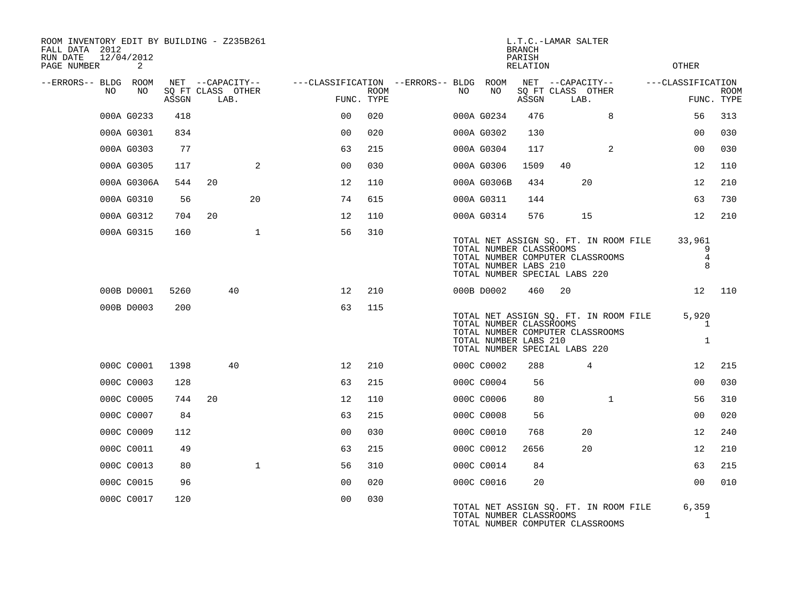| ROOM INVENTORY EDIT BY BUILDING - Z235B261<br>FALL DATA 2012<br>RUN DATE<br>PAGE NUMBER | 12/04/2012<br>2 |       |                                               |              |                                                      |             |    |                                                                                   | L.T.C.-LAMAR SALTER<br><b>BRANCH</b><br>PARISH<br><b>RELATION</b> |                           |                                                                           | <b>OTHER</b>                          |                           |
|-----------------------------------------------------------------------------------------|-----------------|-------|-----------------------------------------------|--------------|------------------------------------------------------|-------------|----|-----------------------------------------------------------------------------------|-------------------------------------------------------------------|---------------------------|---------------------------------------------------------------------------|---------------------------------------|---------------------------|
| --ERRORS-- BLDG ROOM<br>NO                                                              | NO              | ASSGN | NET --CAPACITY--<br>SQ FT CLASS OTHER<br>LAB. |              | ---CLASSIFICATION --ERRORS-- BLDG ROOM<br>FUNC. TYPE | <b>ROOM</b> | NO | NO                                                                                | NET --CAPACITY--<br>ASSGN                                         | SQ FT CLASS OTHER<br>LAB. |                                                                           | ---CLASSIFICATION                     | <b>ROOM</b><br>FUNC. TYPE |
|                                                                                         | 000A G0233      | 418   |                                               |              | 0 <sub>0</sub>                                       | 020         |    | 000A G0234                                                                        | 476                                                               |                           | 8                                                                         | 56                                    | 313                       |
|                                                                                         | 000A G0301      | 834   |                                               |              | 0 <sub>0</sub>                                       | 020         |    | 000A G0302                                                                        | 130                                                               |                           |                                                                           | 00                                    | 030                       |
|                                                                                         | 000A G0303      | 77    |                                               |              | 63                                                   | 215         |    | 000A G0304                                                                        | 117                                                               |                           | $\overline{2}$                                                            | 0 <sub>0</sub>                        | 030                       |
|                                                                                         | 000A G0305      | 117   |                                               | 2            | 0 <sub>0</sub>                                       | 030         |    | 000A G0306                                                                        | 1509                                                              | 40                        |                                                                           | 12                                    | 110                       |
|                                                                                         | 000A G0306A     | 544   | 20                                            |              | 12                                                   | 110         |    | 000A G0306B                                                                       | 434                                                               |                           | 20                                                                        | 12                                    | 210                       |
|                                                                                         | 000A G0310      | 56    |                                               | 20           | 74                                                   | 615         |    | 000A G0311                                                                        | 144                                                               |                           |                                                                           | 63                                    | 730                       |
|                                                                                         | 000A G0312      | 704   | 20                                            |              | 12                                                   | 110         |    | 000A G0314                                                                        | 576                                                               |                           | 15                                                                        | 12                                    | 210                       |
|                                                                                         | 000A G0315      | 160   |                                               | $\mathbf 1$  | 56                                                   | 310         |    | TOTAL NUMBER CLASSROOMS<br>TOTAL NUMBER LABS 210<br>TOTAL NUMBER SPECIAL LABS 220 |                                                                   |                           | TOTAL NET ASSIGN SQ. FT. IN ROOM FILE<br>TOTAL NUMBER COMPUTER CLASSROOMS | 33,961<br>9<br>$\overline{4}$<br>8    |                           |
|                                                                                         | 000B D0001      | 5260  | 40                                            |              | $12 \overline{ }$                                    | 210         |    | 000B D0002                                                                        | 460                                                               | 20                        |                                                                           |                                       | 12 110                    |
|                                                                                         | 000B D0003      | 200   |                                               |              | 63                                                   | 115         |    | TOTAL NUMBER CLASSROOMS<br>TOTAL NUMBER LABS 210<br>TOTAL NUMBER SPECIAL LABS 220 |                                                                   |                           | TOTAL NET ASSIGN SQ. FT. IN ROOM FILE<br>TOTAL NUMBER COMPUTER CLASSROOMS | 5,920<br>$\mathbf{1}$<br>$\mathbf{1}$ |                           |
|                                                                                         | 000C C0001      | 1398  | 40                                            |              | 12                                                   | 210         |    | 000C C0002                                                                        | 288                                                               |                           | 4                                                                         | 12                                    | 215                       |
|                                                                                         | 000C C0003      | 128   |                                               |              | 63                                                   | 215         |    | 000C C0004                                                                        | 56                                                                |                           |                                                                           | 00                                    | 030                       |
|                                                                                         | 000C C0005      | 744   | 20                                            |              | 12                                                   | 110         |    | 000C C0006                                                                        | 80                                                                |                           | $\mathbf{1}$                                                              | 56                                    | 310                       |
|                                                                                         | 000C C0007      | 84    |                                               |              | 63                                                   | 215         |    | 000C C0008                                                                        | 56                                                                |                           |                                                                           | 0 <sub>0</sub>                        | 020                       |
|                                                                                         | 000C C0009      | 112   |                                               |              | 0 <sub>0</sub>                                       | 030         |    | 000C C0010                                                                        | 768                                                               |                           | 20                                                                        | 12                                    | 240                       |
|                                                                                         | 000C C0011      | 49    |                                               |              | 63                                                   | 215         |    | 000C C0012                                                                        | 2656                                                              |                           | 20                                                                        | 12 <sup>°</sup>                       | 210                       |
|                                                                                         | 000C C0013      | 80    |                                               | $\mathbf{1}$ | 56                                                   | 310         |    | 000C C0014                                                                        | 84                                                                |                           |                                                                           | 63                                    | 215                       |
|                                                                                         | 000C C0015      | 96    |                                               |              | 00                                                   | 020         |    | 000C C0016                                                                        | 20                                                                |                           |                                                                           | 0 <sub>0</sub>                        | 010                       |
|                                                                                         | 000C C0017      | 120   |                                               |              | 0 <sub>0</sub>                                       | 030         |    | TOTAL NUMBER CLASSROOMS                                                           |                                                                   |                           | TOTAL NET ASSIGN SQ. FT. IN ROOM FILE<br>TOTAL NUMBER COMPUTER CLASSROOMS | 6,359<br>1                            |                           |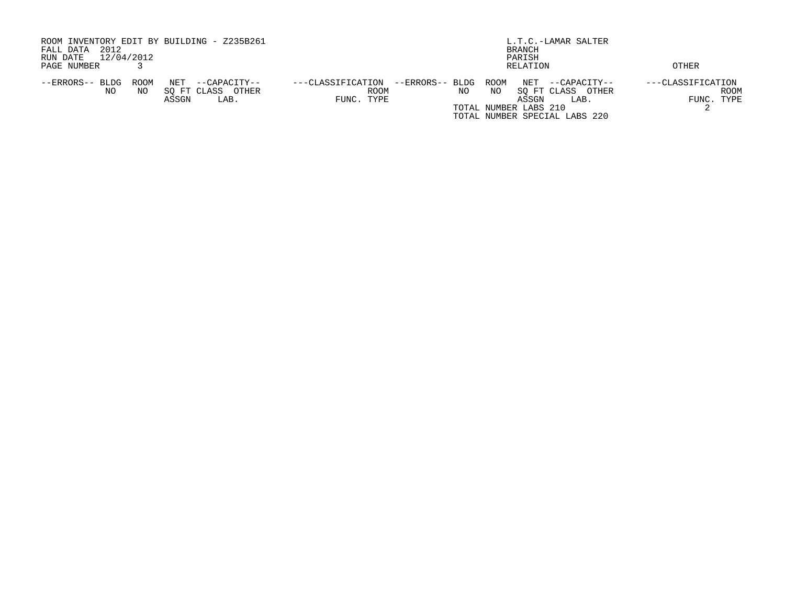| ROOM INVENTORY EDIT BY BUILDING - Z235B261<br>2012<br>FALL DATA<br>12/04/2012<br>RUN DATE         | L.T.C.-LAMAR SALTER<br>BRANCH<br>PARISH                                                                                                                                                                   |                                                |  |  |  |  |  |  |
|---------------------------------------------------------------------------------------------------|-----------------------------------------------------------------------------------------------------------------------------------------------------------------------------------------------------------|------------------------------------------------|--|--|--|--|--|--|
| PAGE NUMBER                                                                                       | RELATION                                                                                                                                                                                                  | OTHER                                          |  |  |  |  |  |  |
| ROOM<br>NET<br>--ERRORS-- BLDG<br>--CAPACITY--<br>SO FT CLASS OTHER<br>NO<br>NO.<br>ASSGN<br>LAB. | --ERRORS-- BLDG<br>ROOM<br>NET<br>---CLASSIFICATION<br>--CAPACITY--<br>ROOM<br>NO.<br>NO<br>SO FT CLASS<br>OTHER<br>FUNC. TYPE<br>ASSGN<br>LAB.<br>TOTAL NUMBER LABS 210<br>TOTAL NUMBER SPECIAL LABS 220 | ---CLASSIFICATION<br><b>ROOM</b><br>FUNC. TYPE |  |  |  |  |  |  |